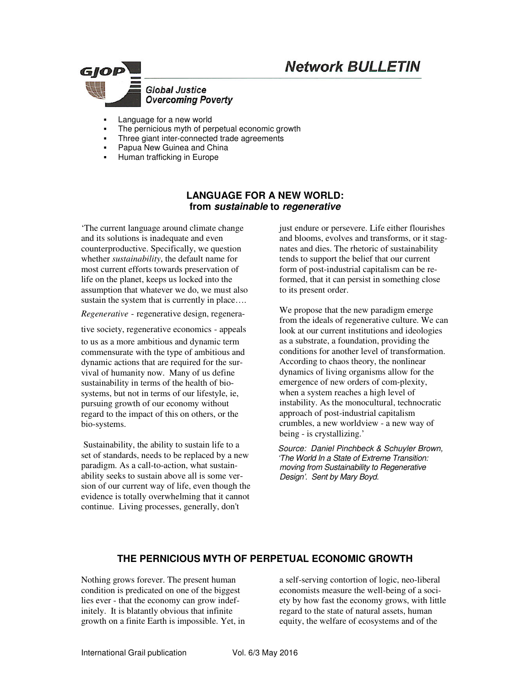# **Network BULLETIN**



- Language for a new world
- The pernicious myth of perpetual economic growth
- Three giant inter-connected trade agreements
- Papua New Guinea and China
- Human trafficking in Europe

## **LANGUAGE FOR A NEW WORLD: from sustainable to regenerative**

'The current language around climate change and its solutions is inadequate and even counterproductive. Specifically, we question whether *sustainability*, the default name for most current efforts towards preservation of life on the planet, keeps us locked into the assumption that whatever we do, we must also sustain the system that is currently in place....

*Regenerative* - regenerative design, regenera-

tive society, regenerative economics  - appeals

to us as a more ambitious and dynamic term commensurate with the type of ambitious and dynamic actions that are required for the survival of humanity now. Many of us define sustainability in terms of the health of biosystems, but not in terms of our lifestyle, ie, pursuing growth of our economy without regard to the impact of this on others, or the bio-systems.

 Sustainability, the ability to sustain life to a set of standards, needs to be replaced by a new paradigm. As a call-to-action, what sustainability seeks to sustain above all is some version of our current way of life, even though the evidence is totally overwhelming that it cannot continue. Living processes, generally, don't

just endure or persevere. Life either flourishes and blooms, evolves and transforms, or it stagnates and dies. The rhetoric of sustainability tends to support the belief that our current form of post-industrial capitalism can be reformed, that it can persist in something close to its present order.

We propose that the new paradigm emerge from the ideals of regenerative culture. We can look at our current institutions and ideologies as a substrate, a foundation, providing the conditions for another level of transformation. According to chaos theory, the nonlinear dynamics of living organisms allow for the emergence of new orders of com-plexity, when a system reaches a high level of instability. As the monocultural, technocratic approach of post-industrial capitalism crumbles, a new worldview - a new way of being - is crystallizing.'

*Source: Daniel Pinchbeck & Schuyler Brown, 'The World In a State of Extreme Transition: moving from Sustainability to Regenerative Design'. Sent by Mary Boyd.*

#### **THE PERNICIOUS MYTH OF PERPETUAL ECONOMIC GROWTH**

Nothing grows forever. The present human condition is predicated on one of the biggest lies ever - that the economy can grow indefinitely. It is blatantly obvious that infinite growth on a finite Earth is impossible. Yet, in a self-serving contortion of logic, neo-liberal economists measure the well-being of a society by how fast the economy grows, with little regard to the state of natural assets, human equity, the welfare of ecosystems and of the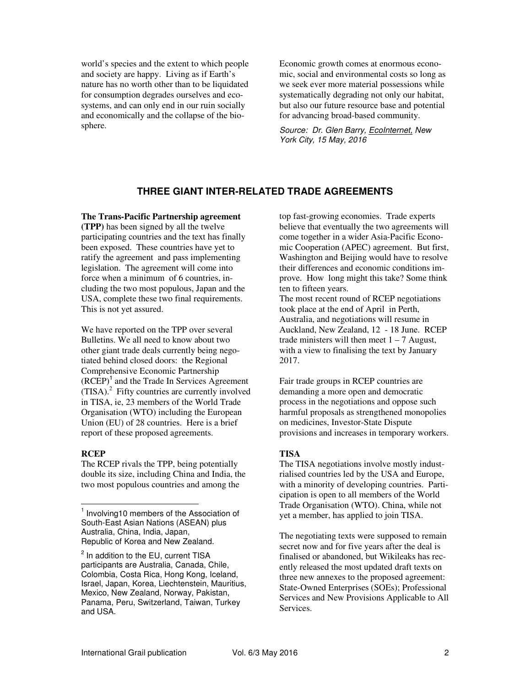world's species and the extent to which people and society are happy. Living as if Earth's nature has no worth other than to be liquidated for consumption degrades ourselves and ecosystems, and can only end in our ruin socially and economically and the collapse of the biosphere.

Economic growth comes at enormous economic, social and environmental costs so long as we seek ever more material possessions while systematically degrading not only our habitat, but also our future resource base and potential for advancing broad-based community.

*Source: Dr. Glen Barry, EcoInternet, New York City, 15 May, 2016* 

#### **THREE GIANT INTER-RELATED TRADE AGREEMENTS**

**The Trans-Pacific Partnership agreement** 

**(TPP)** has been signed by all the twelve participating countries and the text has finally been exposed. These countries have yet to ratify the agreement and pass implementing legislation. The agreement will come into force when a minimum of 6 countries, including the two most populous, Japan and the USA, complete these two final requirements. This is not yet assured.

We have reported on the TPP over several Bulletins. We all need to know about two other giant trade deals currently being negotiated behind closed doors: the Regional Comprehensive Economic Partnership  $(RCEP)<sup>1</sup>$  and the Trade In Services Agreement  $(TISA)$ .<sup>2</sup> Fifty countries are currently involved in TISA, ie, 23 members of the World Trade Organisation (WTO) including the European Union (EU) of 28 countries. Here is a brief report of these proposed agreements.

#### **RCEP**

The RCEP rivals the TPP, being potentially double its size, including China and India, the two most populous countries and among the

top fast-growing economies. Trade experts believe that eventually the two agreements will come together in a wider Asia-Pacific Economic Cooperation (APEC) agreement. But first, Washington and Beijing would have to resolve their differences and economic conditions improve. How long might this take? Some think ten to fifteen years.

The most recent round of RCEP negotiations took place at the end of April in Perth, Australia, and negotiations will resume in Auckland, New Zealand, 12 - 18 June. RCEP trade ministers will then meet  $1 - 7$  August, with a view to finalising the text by January 2017.

Fair trade groups in RCEP countries are demanding a more open and democratic process in the negotiations and oppose such harmful proposals as strengthened monopolies on medicines, Investor-State Dispute provisions and increases in temporary workers.

# **TISA**

The TISA negotiations involve mostly industrialised countries led by the USA and Europe, with a minority of developing countries. Participation is open to all members of the World Trade Organisation (WTO). China, while not yet a member, has applied to join TISA.

The negotiating texts were supposed to remain secret now and for five years after the deal is finalised or abandoned, but Wikileaks has recently released the most updated draft texts on three new annexes to the proposed agreement: State-Owned Enterprises (SOEs); Professional Services and New Provisions Applicable to All Services.

 $\overline{a}$ <sup>1</sup> Involving10 members of the Association of South-East Asian Nations (ASEAN) plus Australia, China, India, Japan, Republic of Korea and New Zealand.

<sup>&</sup>lt;sup>2</sup> In addition to the EU, current TISA participants are Australia, Canada, Chile, Colombia, Costa Rica, Hong Kong, Iceland, Israel, Japan, Korea, Liechtenstein, Mauritius, Mexico, New Zealand, Norway, Pakistan, Panama, Peru, Switzerland, Taiwan, Turkey and USA.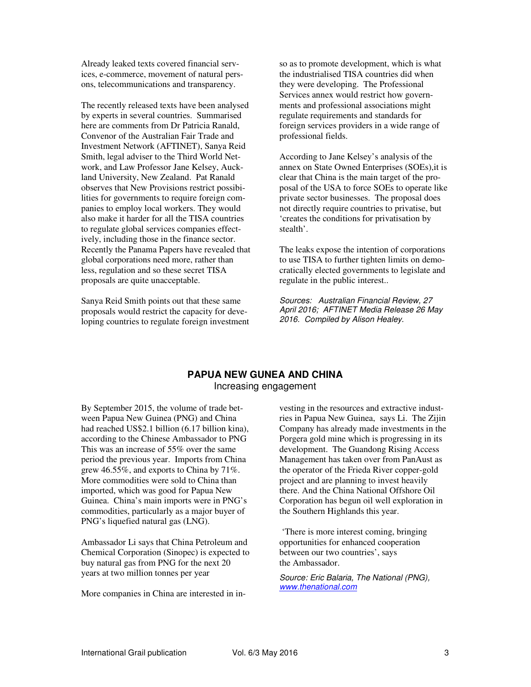Already leaked texts covered financial services, e-commerce, movement of natural persons, telecommunications and transparency.

The recently released texts have been analysed by experts in several countries. Summarised here are comments from Dr Patricia Ranald, Convenor of the Australian Fair Trade and Investment Network (AFTINET), Sanya Reid Smith, legal adviser to the Third World Network, and Law Professor Jane Kelsey, Auckland University, New Zealand. Pat Ranald observes that New Provisions restrict possibilities for governments to require foreign companies to employ local workers. They would also make it harder for all the TISA countries to regulate global services companies effectively, including those in the finance sector. Recently the Panama Papers have revealed that global corporations need more, rather than less, regulation and so these secret TISA proposals are quite unacceptable.

Sanya Reid Smith points out that these same proposals would restrict the capacity for developing countries to regulate foreign investment so as to promote development, which is what the industrialised TISA countries did when they were developing. The Professional Services annex would restrict how governments and professional associations might regulate requirements and standards for foreign services providers in a wide range of professional fields.

According to Jane Kelsey's analysis of the annex on State Owned Enterprises (SOEs),it is clear that China is the main target of the proposal of the USA to force SOEs to operate like private sector businesses. The proposal does not directly require countries to privatise, but 'creates the conditions for privatisation by stealth'.

The leaks expose the intention of corporations to use TISA to further tighten limits on democratically elected governments to legislate and regulate in the public interest..

*Sources: Australian Financial Review, 27 April 2016; AFTINET Media Release 26 May 2016. Compiled by Alison Healey.*

#### **PAPUA NEW GUNEA AND CHINA**  Increasing engagement

By September 2015, the volume of trade between Papua New Guinea (PNG) and China had reached US\$2.1 billion (6.17 billion kina), according to the Chinese Ambassador to PNG This was an increase of 55% over the same period the previous year. Imports from China grew 46.55%, and exports to China by 71%. More commodities were sold to China than imported, which was good for Papua New Guinea. China's main imports were in PNG's commodities, particularly as a major buyer of PNG's liquefied natural gas (LNG).

Ambassador Li says that China Petroleum and Chemical Corporation (Sinopec) is expected to buy natural gas from PNG for the next 20 years at two million tonnes per year

More companies in China are interested in in-

vesting in the resources and extractive industries in Papua New Guinea, says Li. The Zijin Company has already made investments in the Porgera gold mine which is progressing in its development. The Guandong Rising Access Management has taken over from PanAust as the operator of the Frieda River copper-gold project and are planning to invest heavily there. And the China National Offshore Oil Corporation has begun oil well exploration in the Southern Highlands this year.

 'There is more interest coming, bringing opportunities for enhanced cooperation between our two countries', says the Ambassador.

*Source: Eric Balaria, The National (PNG), www.thenational.com*